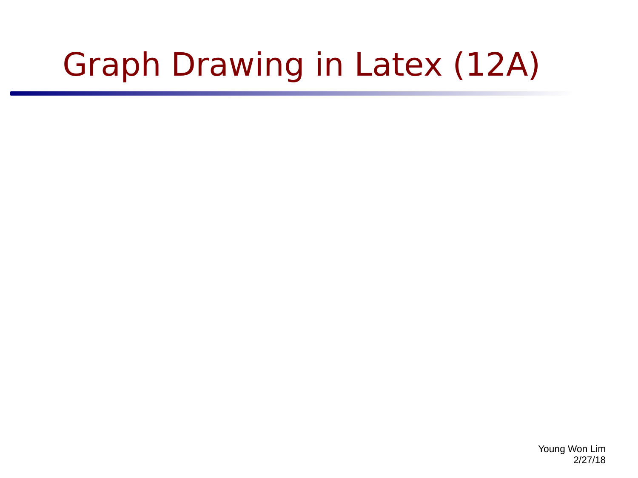## Graph Drawing in Latex (12A)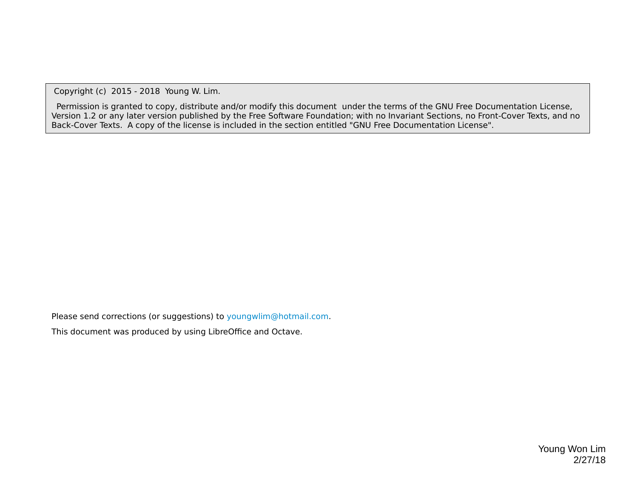Copyright (c) 2015 - 2018 Young W. Lim.

 Permission is granted to copy, distribute and/or modify this document under the terms of the GNU Free Documentation License, Version 1.2 or any later version published by the Free Software Foundation; with no Invariant Sections, no Front-Cover Texts, and no Back-Cover Texts. A copy of the license is included in the section entitled "GNU Free Documentation License".

Please send corrections (or suggestions) to [youngwlim@hotmail.com](mailto:youngwlim@hotmail.com).

This document was produced by using LibreOffice and Octave.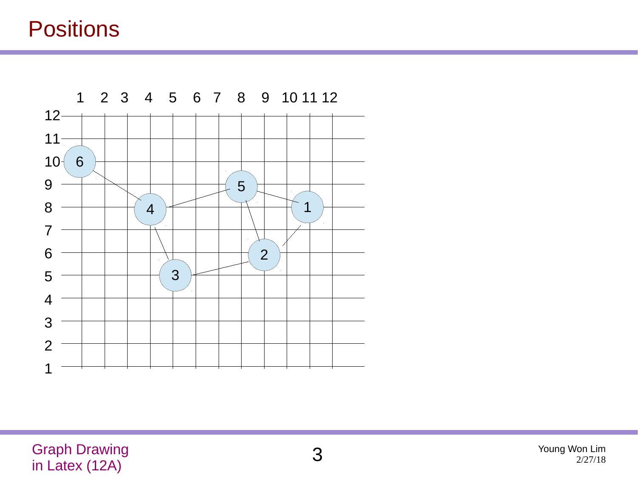## **Positions**

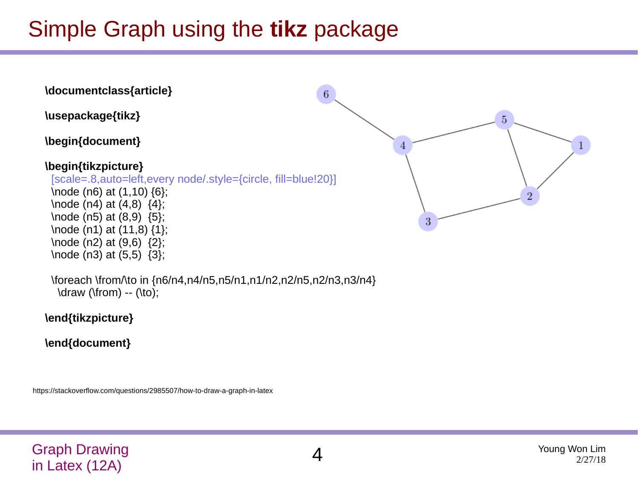## Simple Graph using the **tikz** package



 \foreach \from/\to in {n6/n4,n4/n5,n5/n1,n1/n2,n2/n5,n2/n3,n3/n4} \draw (\from) -- (\to);

**\end{tikzpicture}**

**\end{document}**

https://stackoverflow.com/questions/2985507/how-to-draw-a-graph-in-latex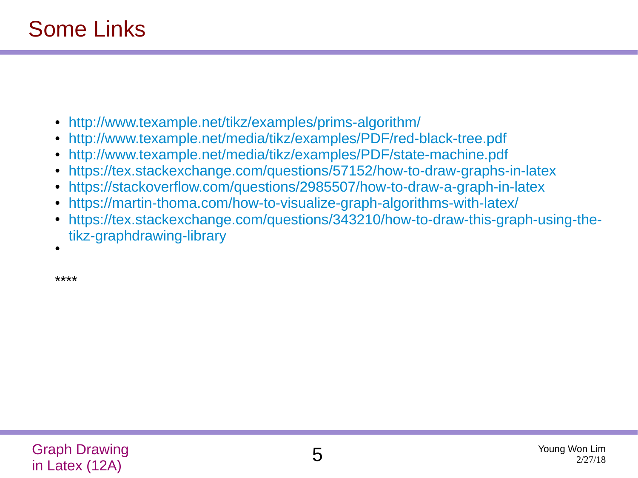- <http://www.texample.net/tikz/examples/prims-algorithm/>
- <http://www.texample.net/media/tikz/examples/PDF/red-black-tree.pdf>
- <http://www.texample.net/media/tikz/examples/PDF/state-machine.pdf>
- <https://tex.stackexchange.com/questions/57152/how-to-draw-graphs-in-latex>
- <https://stackoverflow.com/questions/2985507/how-to-draw-a-graph-in-latex>
- <https://martin-thoma.com/how-to-visualize-graph-algorithms-with-latex/>
- [https://tex.stackexchange.com/questions/343210/how-to-draw-this-graph-using-the](https://tex.stackexchange.com/questions/343210/how-to-draw-this-graph-using-the-tikz-graphdrawing-library)[tikz-graphdrawing-library](https://tex.stackexchange.com/questions/343210/how-to-draw-this-graph-using-the-tikz-graphdrawing-library)

●

\*\*\*\*